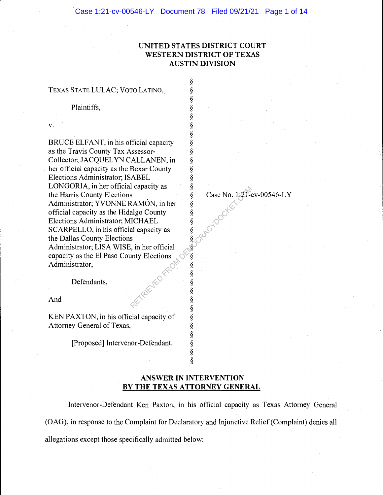§

§

§<br>§

§

# UNITED STATES DISTRICT COURT WESTERN DISTRICT OF TEXAS AUSTIN DIVISION

# TEXAS STATE LULAC; VOTO LATINO, \

Plaintiffs.

v.  $\S$ 

BRUCE ELFANT, in his official capacity §<br>as the Travis County Tax Assessor- § as the Travis County Tax Assessor-<br>Collector; JACQUELYN CALLANEN, in § Collector; JACQUELYN CALLANEN, in §<br>her official capacity as the Bexar County § her official capacity as the Bexar County<br>Elections Administrator; ISABEL  $\S$ Elections Administrator; ISABEL §<br>LONGORIA, in her official capacity as § LONGORIA, in her official capacity as <br>the Harris County Elections  $\S$ the Harris County Elections <br>Administrator; YVONNE RAMÓN, in her § Administrator; YVONNE RAMÓN, in her official capacity as the Hidalgo County § Elections Administrator; MICHAEL SCARPELLO, in his official capacity as the Dallas County Elections Administrator; LISA WISE, in her official § capacity as the El Paso County Elections § Administrator,

Defendants,

And  $\S$ 

KEN PAXTON, in his official capacity of  $\S$ <br>Attorney General of Texas,  $\S$ Attorney General of Texas,

[Proposed] Intervenor-Defendant. §

Case No. 1:21-cv-00546-LY CRAPCTOCKEE

# ANSWER IN INTERVENTION BY THE TEXAS ATTORNEY GENERAL

§

§

§

§

§ §

Intervenor-Defendant Ken Paxton, in his official capacity as Texas Attorney General (OAG), in response to the Complaint for Declaratory and Injunctive Relief (Complaint) denies all allegations except those specifically admitted below: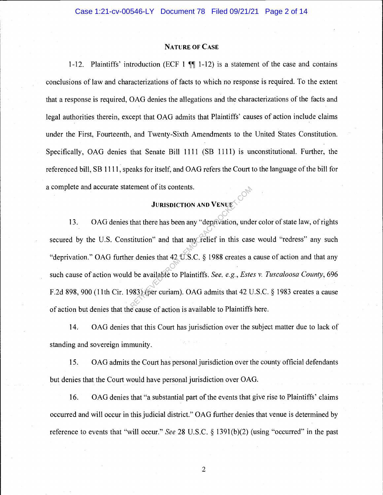#### NATURE OF CASE

1-12. Plaintiffs' introduction (ECF 1  $\P$  1-12) is a statement of the case and contains conclusions of law and characterizations of facts to which no response is required. To the extent that a response is required, OAG denies the allegations and the characterizations of the facts and legal authorities therein, except that OAG admits that Plaintiffs' causes of action include claims under the First, Fourteenth, and Twenty-Sixth Amendments to the United States Constitution. Specifically, OAG denies that Senate Bill 1111 (SB 1111) is unconstitutional. Further, the referenced bill, SB 1111, speaks for itself, and OAG refers the Court to the language of the bill for a complete and accurate statement of its contents.

# JURISDICTION AND VENUE

13. OAG denies that there has been any "deprivation, under color of state law, of rights secured by the U.S. Constitution" and that any relief in this case would "redress" any such "deprivation." OAG further denies that 42 U.S.C. § 1988 creates a cause of action and that any such cause of action would be available to Plaintiffs. See, e.g., Estes v. Tuscaloosa County, 696 F.2d 898, 900 (11th Cir. 1983) (per curiam). OAG admits that 42 U.S.C. § 1983 creates a cause of action but denies that the cause of action is available to Plaintiffs here. JURISDICTION AND VENUES.<br>
that there has been any "deprivation, undertitution" and that any Felief in this case<br>
or denies that 42 U.S.C. § 1988 creates a<br>
d be available to Plaintiffs. See, e.g., Este<br>
983) (per curiam).

14. OAG denies that this Court has jurisdiction over the subject matter due to lack of standing and sovereign immunity.

15. OAG admits the Court has personal jurisdiction over the county official defendants but denies that the Court would have personal jurisdiction over OAG.

16. OAG denies that "a substantial part of the events that give rise to Plaintiffs' claims occurred and will occur in this judicial district." OAG further denies that venue is determined by reference to events that "will occur." See 28 U.S.C.  $\S$  1391(b)(2) (using "occurred" in the past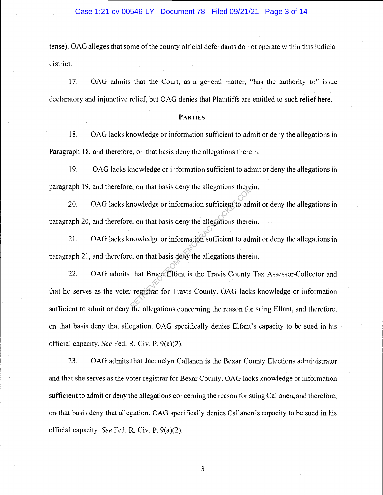tense). OAG alleges that some of the county official defendants do not operate within this judicial district.

17. OAG admits that the Court, as a general matter, "has the authority to" issue declaratory and injunctive relief, but OAG denies that Plaintiffs are entitled to such relief here.

# PARTIES

18. OAG lacks knowledge or information sufficient to admit or deny the allegations in Paragraph 18, and therefore, on that basis deny the allegations therein.

19. OAG lacks knowledge or information sufficient to admit or deny the allegations in paragraph 19, and therefore, on that basis deny the allegations therein.

20. OAG lacks knowledge or information sufficient to admit or deny the allegations in paragraph 20, and therefore, on that basis deny the allegations therein.

21. OAG lacks knowledge or information sufficient to admit or deny the allegations in paragraph 21, and therefore, on that basis deny the allegations therein.

22. OAG admits that Bruce Elfant is the Travis County Tax Assessor-Collector and that he serves as the voter registrar for Travis County. OAG lacks knowledge or information sufficient to admit or deny the allegations concerning the reason for suing Elfant, and therefore, on that basis deny that allegation. OAG specifically denies Elfant's capacity to be sued in his official capacity. See Fed. R. Civ. P. 9(a)(2). e, on that basis deny the allegations there<br>are, on that basis deny the allegations thereis<br>nowledge or information sufficient to adre,<br>a, on that basis deny the allegations thereis<br>that Bruce Elfant is the Travis County<br>r

23. OAG admits that Jacquelyn Callanen is the Bexar County Elections administrator and that she serves as the voter registrar for Bexar County. OAG lacks knowledge or information sufficient to admit or deny the allegations concerning the reason for suing Callanen, and therefore, on that basis deny that allegation. OAG specifically denies Callanen's capacity to be sued in his official capacity. See Fed. R. Civ. P. 9(a)(2).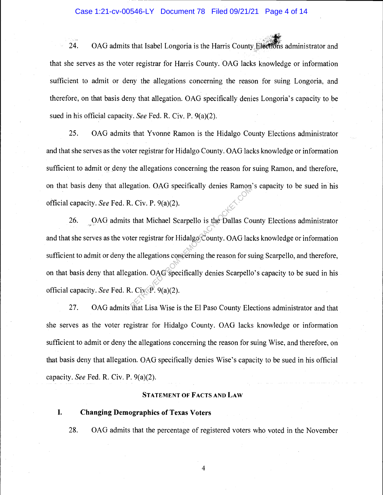# Case 1:21-cv-00546-LY Document 78 Filed 09/21/21 Page 4 of 14

24. OAG admits that Isabel Longoria is the Harris County Elections administrator and that she serves as the voter registrar for Harris County. OAG lacks knowledge or information sufficient to admit or deny the allegations concerning the reason for suing Longoria, and therefore, on that basis deny that allegation. OAG specifically denies Longoria's capacity to be sued in his official capacity. See Fed. R. Civ. P. 9(a)(2).

25. OAG admits that Yvonne Ramon is the Hidalgo County Elections administrator and that she serves as the voter registrar for Hidalgo County. OAG lacks knowledge or information sufficient to admit or deny the allegations concerning the reason for suing Ramon, and therefore, on that basis deny that allegation. OAG specifically denies Ramon's capacity to be sued in his official capacity. See Fed. R. Civ. P. 9(a)(2).

26. OAG admits that Michael Scarpello is the Dallas County Elections administrator and that she serves as the voter registrar for Hidalgo County. OAG lacks knowledge or information sufficient to admit or deny the allegations concerning the reason for suing Scarpello, and therefore, on that basis deny that allegation. OAG specifically denies Scarpello's capacity to be sued in his official capacity. See Fed. R. Civ.  $P. 9(a)(2)$ . Example 1. Civ. P. 9(a)(2).<br>
that Michael Scarpello is the Dallas Coter registrar for Hidalgo County. OAG lact<br>
the registrar for Hidalgo County. OAG lact<br>
the allegations concerning the reason for stration. OAG specifica

27. OAG admits that Lisa Wise is the El Paso County Elections administrator and that she serves as the voter registrar for Hidalgo County. OAG lacks knowledge or information sufficient to admit or deny the allegations concerning the reason for suing Wise, and therefore, on that basis deny that allegation. OAG specifically denies Wise's capacity to be sued in his official capacity. See Fed. R. Civ. P. 9(a)(2).

#### STATEMENT OF FACTS AND LAW

I. Changing Demographics of Texas Voters

28. OAG admits that the percentage of registered voters who voted in the November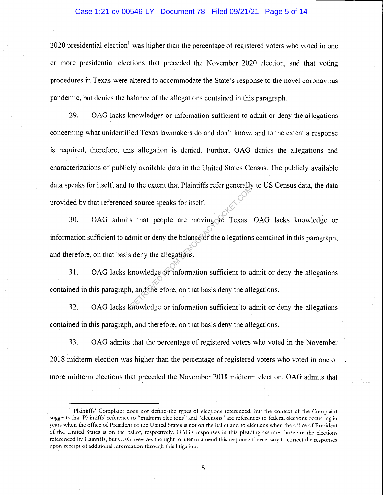### Case 1:21-cv-00546-LY Document 78 Filed 09/21/21 Page 5 of 14

2020 presidential election<sup>1</sup> was higher than the percentage of registered voters who voted in one or more presidential elections that preceded the November 2020 election, and that voting procedures in Texas were altered to accommodate the State's response to the novel coronavirus pandemic, but denies the balance of the allegations contained in this paragraph.

29. OAG lacks knowledges or information sufficient to admit or deny the allegations concerning what unidentified Texas lawmakers do and don't know, and to the extent a response is required, therefore, this allegation is denied. Further, OAG denies the allegations and characterizations of publicly available data in the United States Census. The publicly available data speaks for itself, and to the extent that Plaintiffs refer generally to US Census data, the data provided by that referenced source speaks for itself.

30. OAG admits that people are moving  $\odot$  Texas. OAG lacks knowledge or information sufficient to admit or deny the balance of the allegations contained in this paragraph, and therefore, on that basis deny the allegations. d source speaks for itself.<br>Solid source speaks for itself.<br>Solid and the moving of the allegations<br>is deny the allegations.<br>Retrieved the allegations.<br>Retrieved the allegation sufficient to a set of the allegation suffici

31. OAG lacks knowledge or information sufficient to admit or deny the allegations contained in this paragraph, and therefore, on that basis deny the allegations.

32. OAG lacks knowledge or information sufficient to admit or deny the allegations contained in this paragraph, and therefore, on that basis deny the allegations.

33. OAG admits that the percentage of registered voters who voted in the November 2018 midterm election was higher than the percentage of registered voters who voted in one or more midterm elections that preceded the November 2018 midterm election. OAG admits that

<sup>&</sup>lt;sup>1</sup> Plaintiffs' Complaint does not define the types of elections referenced, but the context of the Complaint suggests that Plaintiffs' reference to "midterm elections" and "elections" are references to federal elections occurring in years when the office of President of the United States is not on the ballot and to elections when the office of President of the United States is on the ballot, respectively. OAG's responses in this pleading assume those are the elections referenced by Plaintiffs, but OAG reserves the right to alter or amend this response if necessary to correct the responses upon receipt of additional information through this litigation.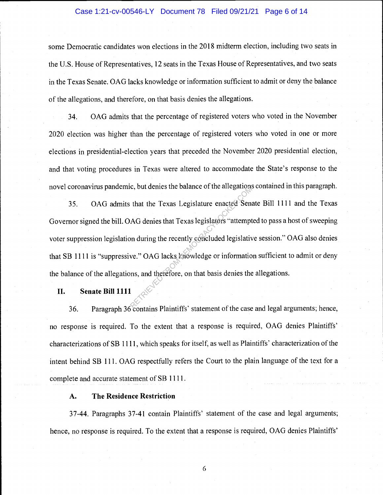### Case 1:21-cv-00546-LY Document 78 Filed 09/21/21 Page 6 of 14

some Democratic candidates won elections in the 2018 midterm election, including two seats in the U.S. House of Representatives, 12 seats in the Texas House of Representatives, and two seats in the Texas Senate. OAG lacks knowledge or information sufficient to admit or deny the balance of the allegations, and therefore, on that basis denies the allegations.

34. OAG admits that the percentage of registered voters who voted in the November 2020 election was higher than the percentage of registered voters who voted in one or more elections in presidential-election years that preceded the November 2020 presidential election, and that voting procedures in Texas were altered to accommodate the State's response to the novel coronavirus pandemic, but denies the balance of the allegations contained in this paragraph.

35. OAG admits that the Texas Legislature enacted Senate Bill 1111 and the Texas Governor signed the bill. OAG denies that Texas legislators "attempted to pass a host of sweeping voter suppression legislation during the recently concluded legislative session." OAG also denies that SB 1111 is "suppressive." OAG lacks knowledge or information sufficient to admit or deny the balance of the allegations, and therefore, on that basis denies the allegations. et, out defines the barance of the anegations<br>
AG denies that Texas legislators "attempt<br>
on during the recently concluded legislativ<br>
we." OAG lacks knowledge or informations, and therefore, on that basis denies the

#### H. Senate Bill 1111

36. Paragraph 36 contains Plaintiffs' statement of the case and legal arguments; hence, no response is required. To the extent that a response is required, OAG denies Plaintiffs' characterizations of SB 1111, which speaks for itself, as well as Plaintiffs' characterization of the intent behind SB 111. OAG respectfully refers the Court to the plain language of the text for a complete and accurate statement of SB 1111.

# A. The Residence Restriction

37-44. Paragraphs 37-41 contain Plaintiffs' statement of the case and legal arguments; hence, no response is required. To the extent that a response is required, OAG denies Plaintiffs'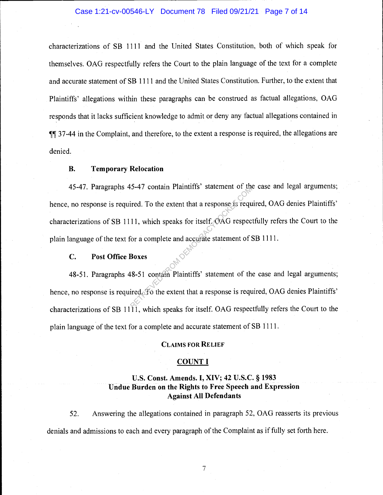# Case 1:21-cv-00546-LY Document 78 Filed 09/21/21 Page 7 of 14

characterizations of SB 1111 and the United States Constitution, both of which speak for themselves. OAG respectfully refers the Court to the plain language of the text for a complete and accurate statement of SB 1111 and the United States Constitution. Further, to the extent that Plaintiffs' allegations within these paragraphs can be construed as factual allegations, OAG responds that it lacks sufficient knowledge to admit or deny any factual allegations contained in  $\P$ [ 37-44 in the Complaint, and therefore, to the extent a response is required, the allegations are denied.

### B. Temporary Relocation

45-47. Paragraphs 45-47 contain Plaintiffs' statement of the case and legal arguments; hence, no response is required. To the extent that a response is required, OAG denies Plaintiffs' characterizations of SB 1111, which speaks for itself. OAG respectfully refers the Court to the plain language of the text for a complete and accurate statement of SB 1111. Retained. To the extent that a response is required. To the extent that a response is required.<br>
The speaks for itself. (AG respection a complete and accurate statement of S<br>
Boxes<br>
Retained To the extent that a response i

### C. Post Office Boxes

48-51. Paragraphs 48-51 contain Plaintiffs' statement of the case and legal arguments; hence, no response is required. To the extent that a response is required, OAG denies Plaintiffs' characterizations of SB 11 $\overline{11}$ , which speaks for itself. OAG respectfully refers the Court to the plain language of the text for a complete and accurate statement of SB 1111.

#### CLAIMS FOR RELIEF

#### COUNT I

# U.S. Const. Amends. I, XIV; 42 U.S.C. § 1983 Undue Burden on the Rights to Free Speech and Expression Against All Defendants

52. Answering the allegations contained in paragraph 52, OAG reasserts its previous denials and admissions to each and every paragraph of the Complaint as if fully set forth here.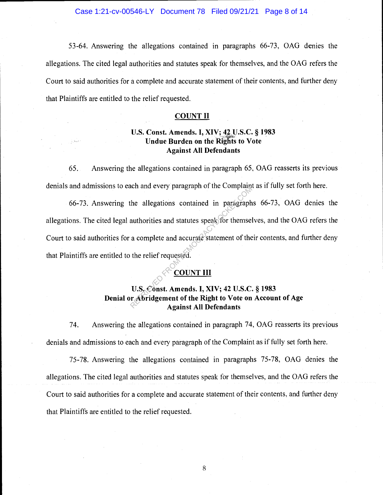Case 1:21-cv-00546-LY Document 78 Filed 09/21/21 Page 8 of 14

53-64. Answering the allegations contained in paragraphs 66-73, OAG denies the allegations. The cited legal authorities and statutes speak for themselves, and the OAG refers the Court to said authorities for a complete and accurate statement of their contents, and further deny that Plaintiffs are entitled to the relief requested.

### COUNT II

# U.S. Const. Amends. I, XIV; 42 U.S.C. § 1983 Undue Burden on the Rights to Vote Against All Defendants

65. Answering the allegations contained in paragraph 65, OAG reasserts its previous denials and admissions to each and every paragraph of the Complaint as if fully set forth here.

66-73. Answering the allegations contained in paragraphs 66-73, OAG denies the allegations. The cited legal authorities and statutes speak for themselves, and the OAG refers the Court to said authorities for a complete and accurate statement of their contents, and further deny that Plaintiffs are entitled to the relief requested. RETRIEVED PARAGRAPHOTON COMPHAND<br>
The allegations contained in paragraph<br>
authorities and statutes speak for themsel<br>
a complete and accurate statement of the<br>
the relief requested.<br>
COUNT III<br>
U.S. Const. Amends. I, XIV;

# COUNT III

# U.S. Const. Amends. I, XIV; 42 U.S.C. § 1983 Denial or Abridgement of the Right to Vote on Account of Age Against All Defendants

74. Answering the allegations contained in paragraph 74, OAG reasserts its previous denials and admissions to each and every paragraph of the Complaint as if fully set forth here.

75-78. Answering the allegations contained in paragraphs 75-78, OAG denies the allegations. The cited legal authorities and statutes speak for themselves, and the OAG refers the Court to said authorities for a complete and accurate statement of their contents, and further deny that Plaintiffs are entitled to the relief requested.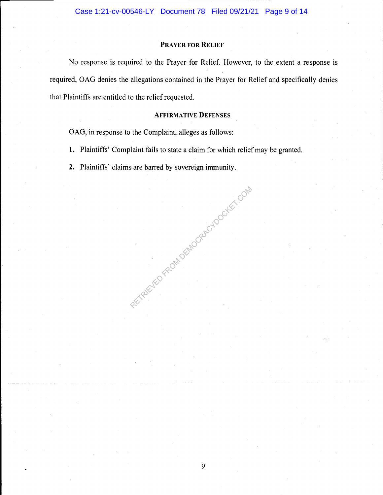### PRAYER FOR RELIEF

No response is required to the Prayer for Relief. However, to the extent a response is required, OAG denies the allegations contained in the Prayer for Relief and specifically denies that Plaintiffs are entitled to the relief requested.

# AFFIRMATIVE DEFENSES

OAG, in response to the Complaint, alleges as follows:

- 1. Plaintiffs' Complaint fails to state a claim for which relief may be granted.
- 2. Plaintiffs' claims are barred by sovereign immunity. RECTAIRD FROM DEMOCRACYDOCKET.COM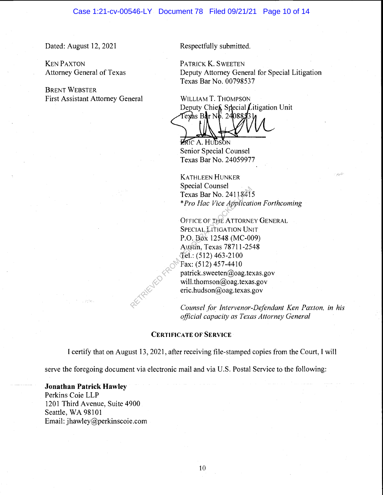### Case 1:21-cv-00546-LY Document 78 Filed 09/21/21 Page 10 of 14

Dated: August 12, 2021 Respectfully submitted.

KEN PAXTON PATRICK K. SWEETEN

BRENT WEBSTER First Assistant Attorney General WILLIAM T. THOMPSON

Attorney General of Texas Deputy Attorney General for Special Litigation Texas Bar No. 00798537

Deputy Chief, Special Litigation Unit<br>Texas Bar No. 2408833 h

**ERIC A. HUDSON** Senior Special Counsel Texas Bar No. 24059977

KATHLEEN HUNKER Special Counsel Texas Bar No. 24118415 \*pro Hac Vice Application Forthcoming

OFFICE OF THE ATTORNEY GENERAL SPECIAL LITIGATION UNIT P.O. Box 12548 (MC-009) Austin, Texas 78711-2548 Tel.: (512) 463-2100 Fax: (512) 457-4410  $partick.sweeten@oaq.texas.gov$ will.thomson@oag.texas.gov  $eric.$ hudson $@$ oag.texas.gov Special Counser<br>Texas Bar No. 2411841:<br>\*Pro Hac Vice Application<br>OFFICE OF THE ATTORNE<br>SPECIAL LITIGATION UN<br>P.O. Box 12548 (MC-00<br>Austin, Texas 78711-25<br>Tel.: (512) 463-2100<br>Fax: (512) 457-4410<br>patrick.sweeten@oag.texas<br>e

Counsel for Intervenor-Defendant Ken Paxton, in his official capacity as Texas Attorney General

# CERTIFICATE OF SERVICE

I certify that on August 13, 2021, after receiving file-stamped copies from the Court, I will

serve the foregoing document via electronic mail and via U.S. Postal Service to the following:

# Jonathan Patrick Hawley

Perkins Coie LLP 1201 Third Avenue, Suite 4900 Seattle, WA 98101 Email: jhawley@perkinscoie.com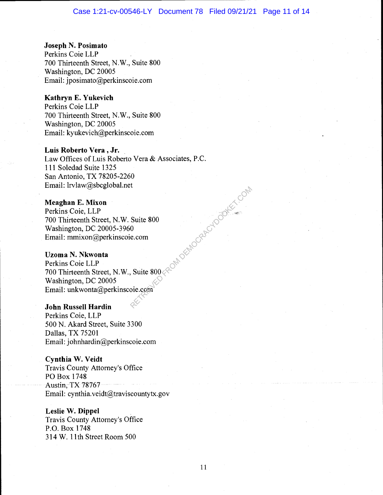# Joseph N. Posimato

Perkins Coie LLP 700 Thirteenth Street, N.W., Suite 800 Washington, DC 20005 Email: jposimato@perkinscoie.com

#### Kathryn E. Yukevich

Perkins Coie LLP 700 Thirteenth Street, N.W., Suite 800 Washington, DC 20005 Email: kyukevich@perkinscoie.com

#### Luis Roberto Vera , Jr.

Law Offices of Luis Roberto Vera & Associates, P.C. 111 Soledad Suite 1325 San Antonio, TX 78205-2260 Email: lrvlaw@sbcglobal.net

# Meaghan E. Mixon

Perkins Coie, LLP 700 Thirteenth Street, N.W. Suite 800 Washington, DC 20005-3960 Email: mmixon@perkinscoie.com

# Uzoma N. Nkwonta

Perkins Coie LLP 700 Thirteenth Street, N.W., Suite  $800\ll$ Washington, DC 20005 Email: unkwonta@perkinscoie.com RETRIEVED FROM DEMOCRACYDOCKET.COM

# John Russell Hardin

Perkins Coie, LLP 500 N. Akard Street, Suite 3300 Dallas, TX 75201 Email: johnhardin@perkinscoie.com

#### Cynthia W. Veidt

Travis County Attorney's Office P0 Box 1748 Austin,TX 78767 Email: cynthia.veidt@traviscountytx.gov

#### Leslie W. Dippel

Travis County Attorney's Office P.O. Box 1748 314W. 11th Street Room 500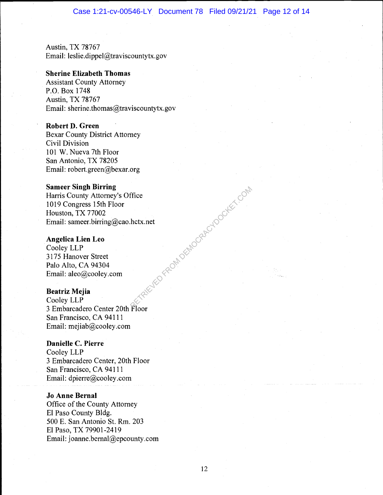Austin, TX 78767 Email: leslie.dippel@traviscountytx.gov

# Sherine Elizabeth Thomas

Assistant County Attorney P.O. Box 1748 Austin, TX 78767 Email: sherine.thomas $@$ traviscountytx.gov

### Robert D. Green

Bexar County District Attorney Civil Division 101 W. Nueva 7th Floor San Antonio, TX 78205 Email: robert.green@bexar.org

# Sameer Singh Birring

Harris County Attorney's Office 1019 Congress 15th Floor Houston, TX 77002 Email: sameer.birring@cao.hctx.net HED FROM DEMOCRACYDOCKET.COM

# Angelica Lien Leo

Cooley LLP 3175 Hanover Street Palo Alto, CA 94304 Email: aleo@cooley.com

### Beatriz Mejia

Cooley LLP 3 Embarcadero Center 20th Floor San Francisco, CA 94111 Email: mejiab@cooley.com

# Danielle C. Pierre

Cooley LLP 3 Embarcadero Center, 20th Floor San Francisco, CA 94111 Email: dpierre@cooley.com

### Jo Anne Bernal

Office of the County Attorney El Paso County Bldg. 500 E. San Antonio St. Rm. 203 El Paso, TX 79901-2419 Email: joanne.bernal@epcounty.com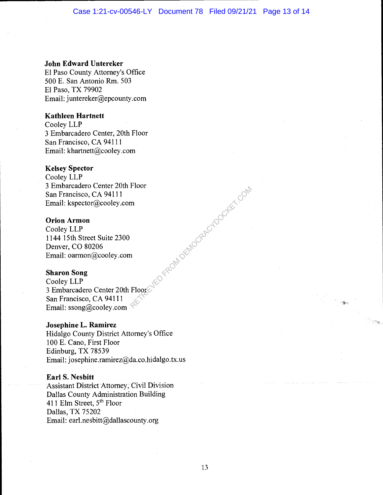### John Edward Untereker

El Paso County Attorney's Office 500 E. San Antonio Rm. 503 El Paso, TX 79902 Email: juntereker@epcounty.com

### Kathleen Hartnett

Cooley LLP <sup>3</sup>Embarcadero Center, 20th Floor San Francisco, CA 94111 Email: khartnett@cooley.com

# Kelsey Spector

Cooley LLP <sup>3</sup>Embarcadero Center 20th Floor San Francisco, CA 94111 Email: kspector@cooley.com

# Orion Armon

Cooley LLP 1144 15th Street Suite 2300 Denver, CO 80206 Email: oarmon@cooley.com

# Sharon Song

Cooley LLP <sup>3</sup>Embarcadero Center 20th Floor San Francisco, CA 94111 Email: ssong@cooley.com **VED FROM DEMOCRACYDOCKET.COM** 

### Josephine L. Ramirez

Hidalgo County District Attorney's Office 100 F. Cano, First Floor Edinburg, TX 78539 Email: josephine.ramirez@da.co.hidalgo.tx.us

# Earl S. Nesbitt

Assistant District Attorney, Civil Division Dallas County Administration Building 411 Elm Street, 5<sup>th</sup> Floor Dallas, TX 75202 Email: earl.nesbitt $(\partial_\mu)$ dallascounty.org